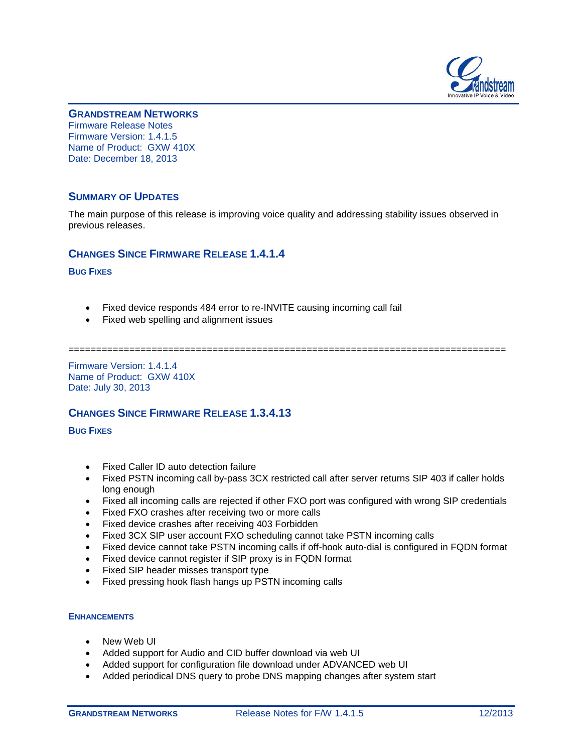

#### **GRANDSTREAM NETWORKS**

Firmware Release Notes Firmware Version: 1.4.1.5 Name of Product: GXW 410X Date: December 18, 2013

### **SUMMARY OF UPDATES**

The main purpose of this release is improving voice quality and addressing stability issues observed in previous releases.

### **CHANGES SINCE FIRMWARE RELEASE 1.4.1.4**

**BUG FIXES**

- Fixed device responds 484 error to re-INVITE causing incoming call fail
- Fixed web spelling and alignment issues

===============================================================================

Firmware Version: 1.4.1.4 Name of Product: GXW 410X Date: July 30, 2013

## **CHANGES SINCE FIRMWARE RELEASE 1.3.4.13**

**BUG FIXES**

- Fixed Caller ID auto detection failure
- Fixed PSTN incoming call by-pass 3CX restricted call after server returns SIP 403 if caller holds long enough
- Fixed all incoming calls are rejected if other FXO port was configured with wrong SIP credentials
- Fixed FXO crashes after receiving two or more calls
- Fixed device crashes after receiving 403 Forbidden
- Fixed 3CX SIP user account FXO scheduling cannot take PSTN incoming calls
- Fixed device cannot take PSTN incoming calls if off-hook auto-dial is configured in FQDN format
- Fixed device cannot register if SIP proxy is in FQDN format
- Fixed SIP header misses transport type
- Fixed pressing hook flash hangs up PSTN incoming calls

#### **ENHANCEMENTS**

- New Web UI
- Added support for Audio and CID buffer download via web UI
- Added support for configuration file download under ADVANCED web UI
- Added periodical DNS query to probe DNS mapping changes after system start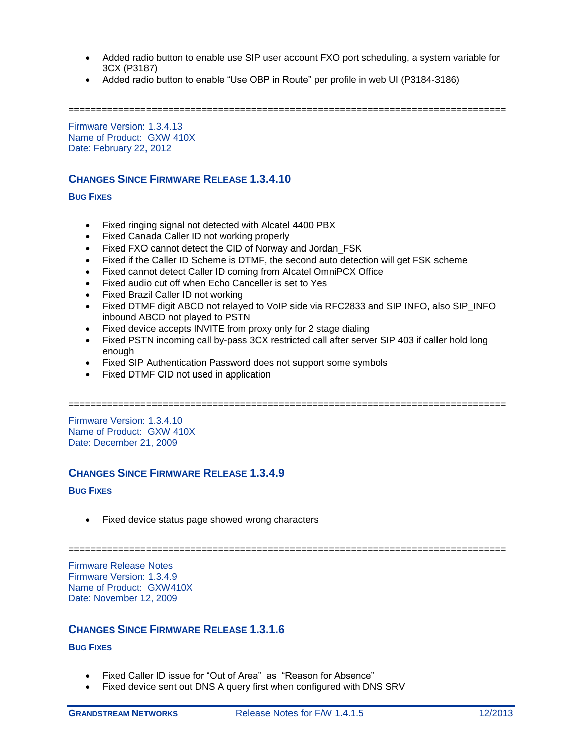- Added radio button to enable use SIP user account FXO port scheduling, a system variable for 3CX (P3187)
- Added radio button to enable "Use OBP in Route" per profile in web UI (P3184-3186)

===============================================================================

Firmware Version: 1.3.4.13 Name of Product: GXW 410X Date: February 22, 2012

## **CHANGES SINCE FIRMWARE RELEASE 1.3.4.10**

**BUG FIXES**

- Fixed ringing signal not detected with Alcatel 4400 PBX
- Fixed Canada Caller ID not working properly
- Fixed FXO cannot detect the CID of Norway and Jordan FSK
- Fixed if the Caller ID Scheme is DTMF, the second auto detection will get FSK scheme
- Fixed cannot detect Caller ID coming from Alcatel OmniPCX Office
- Fixed audio cut off when Echo Canceller is set to Yes
- Fixed Brazil Caller ID not working
- Fixed DTMF digit ABCD not relayed to VoIP side via RFC2833 and SIP INFO, also SIP INFO inbound ABCD not played to PSTN
- Fixed device accepts INVITE from proxy only for 2 stage dialing
- Fixed PSTN incoming call by-pass 3CX restricted call after server SIP 403 if caller hold long enough
- Fixed SIP Authentication Password does not support some symbols
- Fixed DTMF CID not used in application

===============================================================================

Firmware Version: 1.3.4.10 Name of Product: GXW 410X Date: December 21, 2009

## **CHANGES SINCE FIRMWARE RELEASE 1.3.4.9**

#### **BUG FIXES**

• Fixed device status page showed wrong characters

===============================================================================

Firmware Release Notes Firmware Version: 1.3.4.9 Name of Product: GXW410X Date: November 12, 2009

# **CHANGES SINCE FIRMWARE RELEASE 1.3.1.6**

#### **BUG FIXES**

- Fixed Caller ID issue for "Out of Area" as "Reason for Absence"
- Fixed device sent out DNS A query first when configured with DNS SRV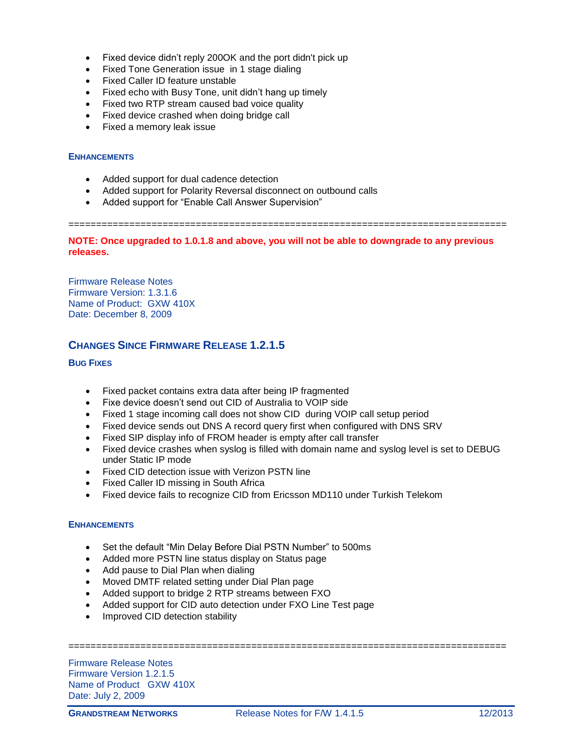- Fixed device didn't reply 200OK and the port didn't pick up
- Fixed Tone Generation issue in 1 stage dialing
- Fixed Caller ID feature unstable
- Fixed echo with Busy Tone, unit didn't hang up timely
- Fixed two RTP stream caused bad voice quality
- Fixed device crashed when doing bridge call
- Fixed a memory leak issue

#### **ENHANCEMENTS**

- Added support for dual cadence detection
- Added support for Polarity Reversal disconnect on outbound calls
- Added support for "Enable Call Answer Supervision"

===============================================================================

**NOTE: Once upgraded to 1.0.1.8 and above, you will not be able to downgrade to any previous releases.**

Firmware Release Notes Firmware Version: 1.3.1.6 Name of Product: GXW 410X Date: December 8, 2009

## **CHANGES SINCE FIRMWARE RELEASE 1.2.1.5**

### **BUG FIXES**

- Fixed packet contains extra data after being IP fragmented
- Fixe device doesn't send out CID of Australia to VOIP side
- Fixed 1 stage incoming call does not show CID during VOIP call setup period
- Fixed device sends out DNS A record query first when configured with DNS SRV
- Fixed SIP display info of FROM header is empty after call transfer
- Fixed device crashes when syslog is filled with domain name and syslog level is set to DEBUG under Static IP mode
- Fixed CID detection issue with Verizon PSTN line
- Fixed Caller ID missing in South Africa
- Fixed device fails to recognize CID from Ericsson MD110 under Turkish Telekom

### **ENHANCEMENTS**

- Set the default "Min Delay Before Dial PSTN Number" to 500ms
- Added more PSTN line status display on Status page
- Add pause to Dial Plan when dialing
- Moved DMTF related setting under Dial Plan page
- Added support to bridge 2 RTP streams between FXO
- Added support for CID auto detection under FXO Line Test page
- Improved CID detection stability

===============================================================================

Firmware Release Notes Firmware Version 1.2.1.5 Name of Product GXW 410X Date: July 2, 2009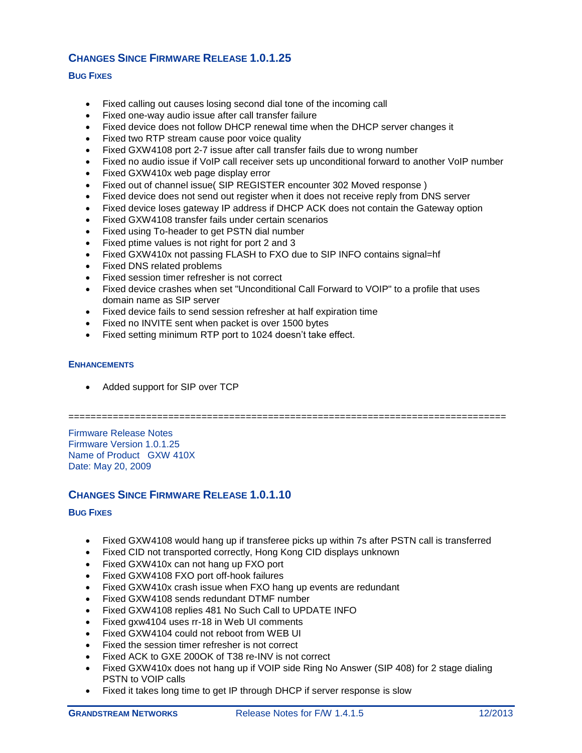# **CHANGES SINCE FIRMWARE RELEASE 1.0.1.25**

### **BUG FIXES**

- Fixed calling out causes losing second dial tone of the incoming call
- Fixed one-way audio issue after call transfer failure
- Fixed device does not follow DHCP renewal time when the DHCP server changes it
- Fixed two RTP stream cause poor voice quality
- Fixed GXW4108 port 2-7 issue after call transfer fails due to wrong number
- Fixed no audio issue if VoIP call receiver sets up unconditional forward to another VoIP number
- Fixed GXW410x web page display error
- Fixed out of channel issue( SIP REGISTER encounter 302 Moved response )
- Fixed device does not send out register when it does not receive reply from DNS server
- Fixed device loses gateway IP address if DHCP ACK does not contain the Gateway option
- Fixed GXW4108 transfer fails under certain scenarios
- Fixed using To-header to get PSTN dial number
- Fixed ptime values is not right for port 2 and 3
- Fixed GXW410x not passing FLASH to FXO due to SIP INFO contains signal=hf
- Fixed DNS related problems
- Fixed session timer refresher is not correct
- Fixed device crashes when set "Unconditional Call Forward to VOIP" to a profile that uses domain name as SIP server
- Fixed device fails to send session refresher at half expiration time
- Fixed no INVITE sent when packet is over 1500 bytes
- Fixed setting minimum RTP port to 1024 doesn't take effect.

#### **ENHANCEMENTS**

Added support for SIP over TCP

===============================================================================

Firmware Release Notes Firmware Version 1.0.1.25 Name of Product GXW 410X Date: May 20, 2009

## **CHANGES SINCE FIRMWARE RELEASE 1.0.1.10**

#### **BUG FIXES**

- Fixed GXW4108 would hang up if transferee picks up within 7s after PSTN call is transferred
- Fixed CID not transported correctly, Hong Kong CID displays unknown
- Fixed GXW410x can not hang up FXO port
- Fixed GXW4108 FXO port off-hook failures
- Fixed GXW410x crash issue when FXO hang up events are redundant
- Fixed GXW4108 sends redundant DTMF number
- Fixed GXW4108 replies 481 No Such Call to UPDATE INFO
- Fixed gxw4104 uses rr-18 in Web UI comments
- Fixed GXW4104 could not reboot from WEB UI
- Fixed the session timer refresher is not correct
- Fixed ACK to GXE 200OK of T38 re-INV is not correct
- Fixed GXW410x does not hang up if VOIP side Ring No Answer (SIP 408) for 2 stage dialing PSTN to VOIP calls
- Fixed it takes long time to get IP through DHCP if server response is slow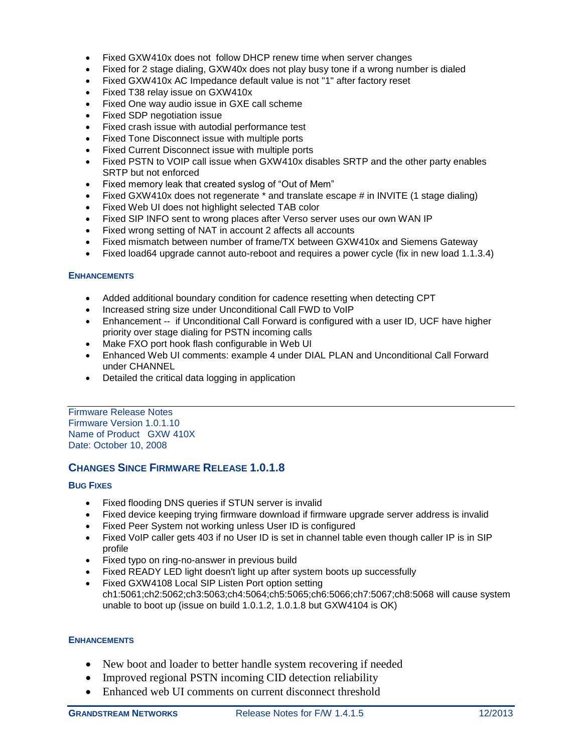- Fixed GXW410x does not follow DHCP renew time when server changes
- Fixed for 2 stage dialing, GXW40x does not play busy tone if a wrong number is dialed
- Fixed GXW410x AC Impedance default value is not "1" after factory reset
- Fixed T38 relay issue on GXW410x
- Fixed One way audio issue in GXE call scheme
- Fixed SDP negotiation issue
- Fixed crash issue with autodial performance test
- Fixed Tone Disconnect issue with multiple ports
- Fixed Current Disconnect issue with multiple ports
- Fixed PSTN to VOIP call issue when GXW410x disables SRTP and the other party enables SRTP but not enforced
- Fixed memory leak that created syslog of "Out of Mem"
- Fixed GXW410x does not regenerate \* and translate escape # in INVITE (1 stage dialing)
- Fixed Web UI does not highlight selected TAB color
- Fixed SIP INFO sent to wrong places after Verso server uses our own WAN IP
- Fixed wrong setting of NAT in account 2 affects all accounts
- Fixed mismatch between number of frame/TX between GXW410x and Siemens Gateway
- Fixed load64 upgrade cannot auto-reboot and requires a power cycle (fix in new load 1.1.3.4)

#### **ENHANCEMENTS**

- Added additional boundary condition for cadence resetting when detecting CPT
- Increased string size under Unconditional Call FWD to VoIP
- Enhancement -- if Unconditional Call Forward is configured with a user ID, UCF have higher priority over stage dialing for PSTN incoming calls
- Make FXO port hook flash configurable in Web UI
- Enhanced Web UI comments: example 4 under DIAL PLAN and Unconditional Call Forward under CHANNEL
- Detailed the critical data logging in application

Firmware Release Notes Firmware Version 1.0.1.10 Name of Product GXW 410X Date: October 10, 2008

### **CHANGES SINCE FIRMWARE RELEASE 1.0.1.8**

### **BUG FIXES**

- Fixed flooding DNS queries if STUN server is invalid
- Fixed device keeping trying firmware download if firmware upgrade server address is invalid
- Fixed Peer System not working unless User ID is configured
- Fixed VoIP caller gets 403 if no User ID is set in channel table even though caller IP is in SIP profile
- Fixed typo on ring-no-answer in previous build
- Fixed READY LED light doesn't light up after system boots up successfully
- Fixed GXW4108 Local SIP Listen Port option setting ch1:5061;ch2:5062;ch3:5063;ch4:5064;ch5:5065;ch6:5066;ch7:5067;ch8:5068 will cause system unable to boot up (issue on build 1.0.1.2, 1.0.1.8 but GXW4104 is OK)

### **ENHANCEMENTS**

- New boot and loader to better handle system recovering if needed
- Improved regional PSTN incoming CID detection reliability
- Enhanced web UI comments on current disconnect threshold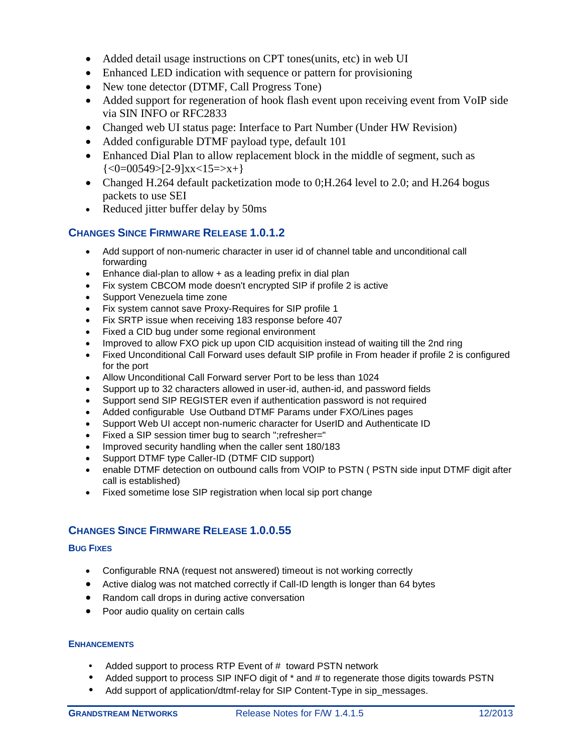- Added detail usage instructions on CPT tones(units, etc) in web UI
- Enhanced LED indication with sequence or pattern for provisioning
- New tone detector (DTMF, Call Progress Tone)
- Added support for regeneration of hook flash event upon receiving event from VoIP side via SIN INFO or RFC2833
- Changed web UI status page: Interface to Part Number (Under HW Revision)
- Added configurable DTMF payload type, default 101
- Enhanced Dial Plan to allow replacement block in the middle of segment, such as  $\{\langle 0=00549\rangle$ [2-9]xx $\langle 15=\rangle$ x+}
- Changed H.264 default packetization mode to 0; H.264 level to 2.0; and H.264 bogus packets to use SEI
- Reduced jitter buffer delay by 50ms

## **CHANGES SINCE FIRMWARE RELEASE 1.0.1.2**

- Add support of non-numeric character in user id of channel table and unconditional call forwarding
- Enhance dial-plan to allow + as a leading prefix in dial plan
- Fix system CBCOM mode doesn't encrypted SIP if profile 2 is active
- Support Venezuela time zone
- Fix system cannot save Proxy-Requires for SIP profile 1
- Fix SRTP issue when receiving 183 response before 407
- Fixed a CID bug under some regional environment
- Improved to allow FXO pick up upon CID acquisition instead of waiting till the 2nd ring
- Fixed Unconditional Call Forward uses default SIP profile in From header if profile 2 is configured for the port
- Allow Unconditional Call Forward server Port to be less than 1024
- Support up to 32 characters allowed in user-id, authen-id, and password fields
- Support send SIP REGISTER even if authentication password is not required
- Added configurable Use Outband DTMF Params under FXO/Lines pages
- Support Web UI accept non-numeric character for UserID and Authenticate ID
- Fixed a SIP session timer bug to search ";refresher="
- Improved security handling when the caller sent 180/183
- Support DTMF type Caller-ID (DTMF CID support)
- enable DTMF detection on outbound calls from VOIP to PSTN ( PSTN side input DTMF digit after call is established)
- Fixed sometime lose SIP registration when local sip port change

## **CHANGES SINCE FIRMWARE RELEASE 1.0.0.55**

### **BUG FIXES**

- Configurable RNA (request not answered) timeout is not working correctly
- Active dialog was not matched correctly if Call-ID length is longer than 64 bytes
- Random call drops in during active conversation
- Poor audio quality on certain calls

### **ENHANCEMENTS**

- Added support to process RTP Event of # toward PSTN network
- Added support to process SIP INFO digit of  $*$  and # to regenerate those digits towards PSTN
- Add support of application/dtmf-relay for SIP Content-Type in sip\_messages.